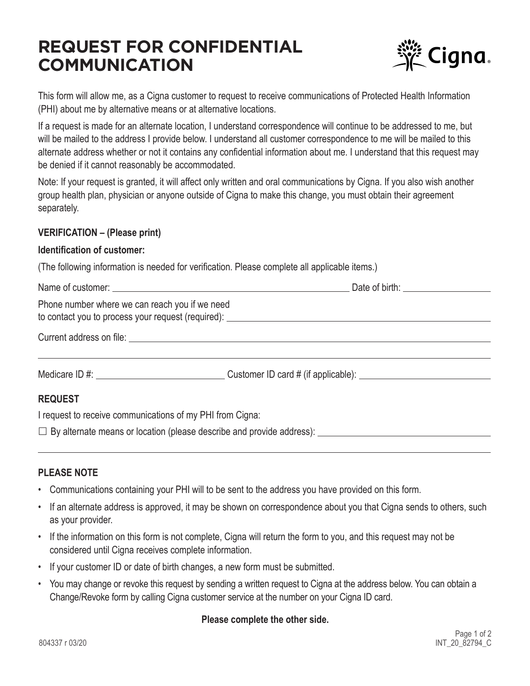# **REQUEST FOR CONFIDENTIAL COMMUNICATION**



This form will allow me, as a Cigna customer to request to receive communications of Protected Health Information (PHI) about me by alternative means or at alternative locations.

If a request is made for an alternate location, I understand correspondence will continue to be addressed to me, but will be mailed to the address I provide below. I understand all customer correspondence to me will be mailed to this alternate address whether or not it contains any confidential information about me. I understand that this request may be denied if it cannot reasonably be accommodated.

Note: If your request is granted, it will affect only written and oral communications by Cigna. If you also wish another group health plan, physician or anyone outside of Cigna to make this change, you must obtain their agreement separately.

#### **VERIFICATION – (Please print)**

#### **Identification of customer:**

(The following information is needed for verification. Please complete all applicable items.)

|                                                           | Date of birth: ________________________ |
|-----------------------------------------------------------|-----------------------------------------|
| Phone number where we can reach you if we need            |                                         |
|                                                           |                                         |
|                                                           |                                         |
|                                                           |                                         |
| <b>REQUEST</b>                                            |                                         |
| I request to receive communications of my PHI from Cigna: |                                         |

 $\Box$  By alternate means or location (please describe and provide address):  $\Box$ 

## **PLEASE NOTE**

- Communications containing your PHI will to be sent to the address you have provided on this form.
- If an alternate address is approved, it may be shown on correspondence about you that Cigna sends to others, such as your provider.
- If the information on this form is not complete, Cigna will return the form to you, and this request may not be considered until Cigna receives complete information.
- If your customer ID or date of birth changes, a new form must be submitted.
- You may change or revoke this request by sending a written request to Cigna at the address below. You can obtain a Change/Revoke form by calling Cigna customer service at the number on your Cigna ID card.

#### **Please complete the other side.**